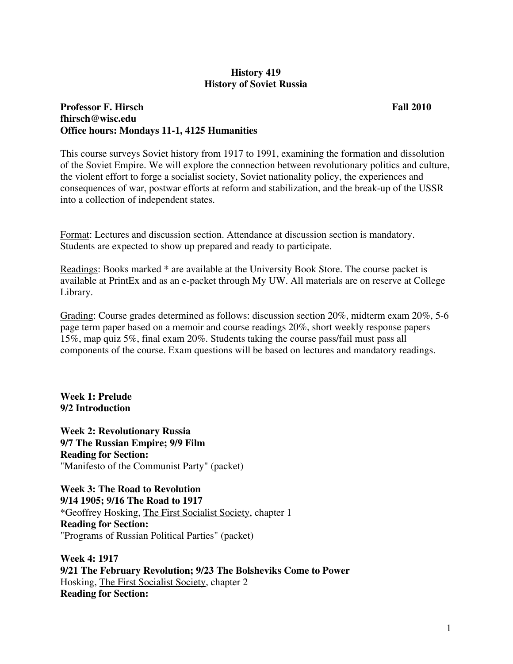#### **History 419 History of Soviet Russia**

# **Professor F. Hirsch Fall 2010 Fall 2010 fhirsch@wisc.edu Office hours: Mondays 11-1, 4125 Humanities**

This course surveys Soviet history from 1917 to 1991, examining the formation and dissolution of the Soviet Empire. We will explore the connection between revolutionary politics and culture, the violent effort to forge a socialist society, Soviet nationality policy, the experiences and consequences of war, postwar efforts at reform and stabilization, and the break-up of the USSR into a collection of independent states.

Format: Lectures and discussion section. Attendance at discussion section is mandatory. Students are expected to show up prepared and ready to participate.

Readings: Books marked \* are available at the University Book Store. The course packet is available at PrintEx and as an e-packet through My UW. All materials are on reserve at College Library.

Grading: Course grades determined as follows: discussion section 20%, midterm exam 20%, 5-6 page term paper based on a memoir and course readings 20%, short weekly response papers 15%, map quiz 5%, final exam 20%. Students taking the course pass/fail must pass all components of the course. Exam questions will be based on lectures and mandatory readings.

**Week 1: Prelude 9/2 Introduction** 

**Week 2: Revolutionary Russia 9/7 The Russian Empire; 9/9 Film Reading for Section:**  "Manifesto of the Communist Party" (packet)

**Week 3: The Road to Revolution 9/14 1905; 9/16 The Road to 1917**  \*Geoffrey Hosking, The First Socialist Society, chapter 1 **Reading for Section:**  "Programs of Russian Political Parties" (packet)

**Week 4: 1917 9/21 The February Revolution; 9/23 The Bolsheviks Come to Power**  Hosking, The First Socialist Society, chapter 2 **Reading for Section:**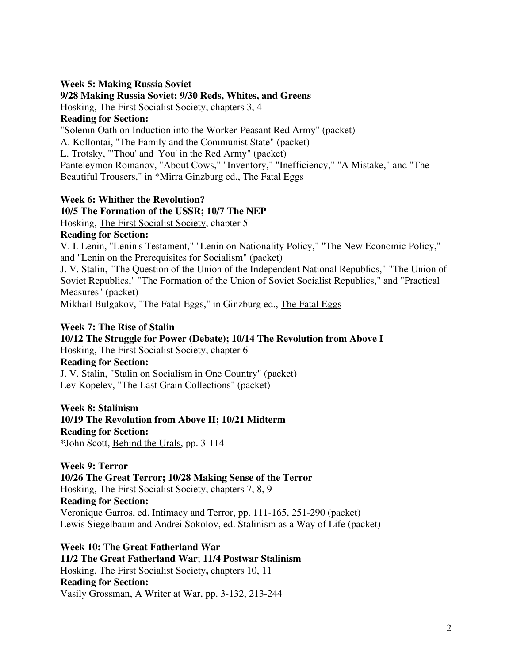#### **Week 5: Making Russia Soviet**

# **9/28 Making Russia Soviet; 9/30 Reds, Whites, and Greens**

Hosking, The First Socialist Society, chapters 3, 4

# **Reading for Section:**

"Solemn Oath on Induction into the Worker-Peasant Red Army" (packet)

A. Kollontai, "The Family and the Communist State" (packet)

L. Trotsky, "'Thou' and 'You' in the Red Army" (packet)

Panteleymon Romanov, "About Cows," "Inventory," "Inefficiency," "A Mistake," and "The Beautiful Trousers," in \*Mirra Ginzburg ed., The Fatal Eggs

# **Week 6: Whither the Revolution?**

# **10/5 The Formation of the USSR; 10/7 The NEP**

Hosking, The First Socialist Society, chapter 5

# **Reading for Section:**

V. I. Lenin, "Lenin's Testament," "Lenin on Nationality Policy," "The New Economic Policy," and "Lenin on the Prerequisites for Socialism" (packet)

J. V. Stalin, "The Question of the Union of the Independent National Republics," "The Union of Soviet Republics," "The Formation of the Union of Soviet Socialist Republics," and "Practical Measures" (packet)

Mikhail Bulgakov, "The Fatal Eggs," in Ginzburg ed., The Fatal Eggs

# **Week 7: The Rise of Stalin**

**10/12 The Struggle for Power (Debate); 10/14 The Revolution from Above I**  Hosking, The First Socialist Society, chapter 6 **Reading for Section:**  J. V. Stalin, "Stalin on Socialism in One Country" (packet) Lev Kopelev, "The Last Grain Collections" (packet)

**Week 8: Stalinism 10/19 The Revolution from Above II; 10/21 Midterm Reading for Section:**  \*John Scott, Behind the Urals, pp. 3-114

**Week 9: Terror 10/26 The Great Terror; 10/28 Making Sense of the Terror**  Hosking, The First Socialist Society, chapters 7, 8, 9 **Reading for Section:**  Veronique Garros, ed. Intimacy and Terror, pp. 111-165, 251-290 (packet) Lewis Siegelbaum and Andrei Sokolov, ed. Stalinism as a Way of Life (packet)

**Week 10: The Great Fatherland War 11/2 The Great Fatherland War**; **11/4 Postwar Stalinism**  Hosking, The First Socialist Society**,** chapters 10, 11 **Reading for Section:**  Vasily Grossman, A Writer at War, pp. 3-132, 213-244